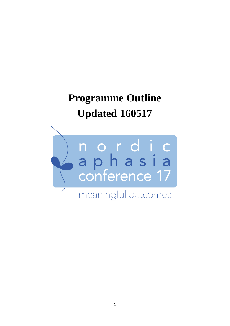## **Programme Outline Updated 160517**

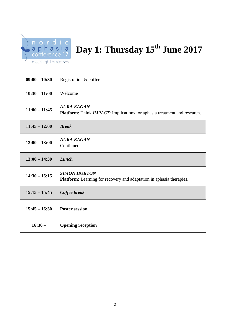

## Day 1: Thursday  $15^{th}$  June 2017

| meaningful outcomes |  |
|---------------------|--|
|---------------------|--|

| $09:00 - 10:30$ | Registration & coffee                                                                              |
|-----------------|----------------------------------------------------------------------------------------------------|
| $10:30 - 11:00$ | Welcome                                                                                            |
| $11:00 - 11:45$ | <b>AURA KAGAN</b><br>Platform: Think IMPACT: Implications for aphasia treatment and research.      |
| $11:45 - 12:00$ | <b>Break</b>                                                                                       |
| $12:00 - 13:00$ | <b>AURA KAGAN</b><br>Continued                                                                     |
| $13:00 - 14:30$ | Lunch                                                                                              |
| $14:30 - 15:15$ | <b>SIMON HORTON</b><br><b>Platform:</b> Learning for recovery and adaptation in aphasia therapies. |
| $15:15 - 15:45$ | Coffee break                                                                                       |
| $15:45 - 16:30$ | <b>Poster session</b>                                                                              |
| $16:30-$        | <b>Opening reception</b>                                                                           |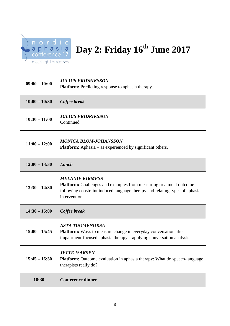

## Day 2: Friday  $16^{th}$  June 2017

| $09:00 - 10:00$ | <b>JULIUS FRIDRIKSSON</b><br><b>Platform:</b> Predicting response to aphasia therapy.                                                                                                               |
|-----------------|-----------------------------------------------------------------------------------------------------------------------------------------------------------------------------------------------------|
| $10:00 - 10:30$ | Coffee break                                                                                                                                                                                        |
| $10:30 - 11:00$ | <b>JULIUS FRIDRIKSSON</b><br>Continued                                                                                                                                                              |
| $11:00 - 12:00$ | <b>MONICA BLOM-JOHANSSON</b><br><b>Platform:</b> Aphasia – as experienced by significant others.                                                                                                    |
| $12:00 - 13:30$ | Lunch                                                                                                                                                                                               |
| $13:30 - 14:30$ | <b>MELANIE KIRMESS</b><br><b>Platform:</b> Challenges and examples from measuring treatment outcome<br>following constraint induced language therapy and relating types of aphasia<br>intervention. |
| $14:30 - 15:00$ | Coffee break                                                                                                                                                                                        |
| $15:00 - 15:45$ | <b>ASTA TUOMENOKSA</b><br><b>Platform:</b> Ways to measure change in everyday conversation after<br>impairment-focused aphasia therapy – applying conversation analysis.                            |
| $15:45 - 16:30$ | <b>JYTTE ISAKSEN</b><br><b>Platform:</b> Outcome evaluation in aphasia therapy: What do speech-language<br>therapists really do?                                                                    |
| 18:30           | <b>Conference dinner</b>                                                                                                                                                                            |